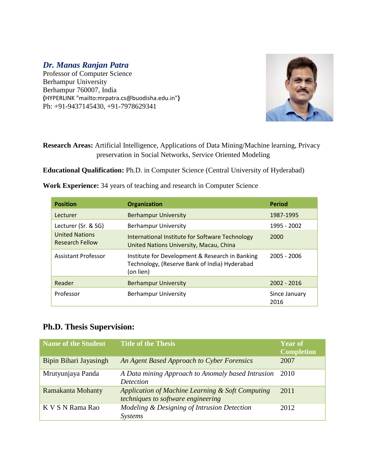## *Dr. Manas Ranjan Patra*

Professor of Computer Science Berhampur University Berhampur 760007, India **{**[HYPERLINK "mailto:mrpatra.cs@buodisha.edu.in"](mailto:mrpatra.cs@buodisha.edu.in)**}** Ph: +91-9437145430, +91-7978629341



### **Research Areas:** Artificial Intelligence, Applications of Data Mining/Machine learning, Privacy preservation in Social Networks, Service Oriented Modeling

**Educational Qualification:** Ph.D. in Computer Science (Central University of Hyderabad)

| <b>Position</b>                                 | <b>Organization</b>                                                                                           | <b>Period</b>         |
|-------------------------------------------------|---------------------------------------------------------------------------------------------------------------|-----------------------|
| Lecturer                                        | <b>Berhampur University</b>                                                                                   | 1987-1995             |
| Lecturer (Sr. & SG)                             | <b>Berhampur University</b>                                                                                   | 1995 - 2002           |
| <b>United Nations</b><br><b>Research Fellow</b> | International Institute for Software Technology<br>United Nations University, Macau, China                    | 2000                  |
| <b>Assistant Professor</b>                      | Institute for Development & Research in Banking<br>Technology, (Reserve Bank of India) Hyderabad<br>(on lien) | $2005 - 2006$         |
| Reader                                          | <b>Berhampur University</b>                                                                                   | $2002 - 2016$         |
| Professor                                       | <b>Berhampur University</b>                                                                                   | Since January<br>2016 |

**Work Experience:** 34 years of teaching and research in Computer Science

### **Ph.D. Thesis Supervision:**

| <b>Name of the Student</b> | <b>Title of the Thesis</b>                                                             | <b>Year of</b><br><b>Completion</b> |
|----------------------------|----------------------------------------------------------------------------------------|-------------------------------------|
| Bipin Bihari Jayasingh     | An Agent Based Approach to Cyber Forensics                                             | 2007                                |
| Mrutyunjaya Panda          | A Data mining Approach to Anomaly based Intrusion<br><i>Detection</i>                  | 2010                                |
| Ramakanta Mohanty          | Application of Machine Learning & Soft Computing<br>techniques to software engineering | 2011                                |
| K V S N Rama Rao           | Modeling & Designing of Intrusion Detection<br><b>Systems</b>                          | 2012                                |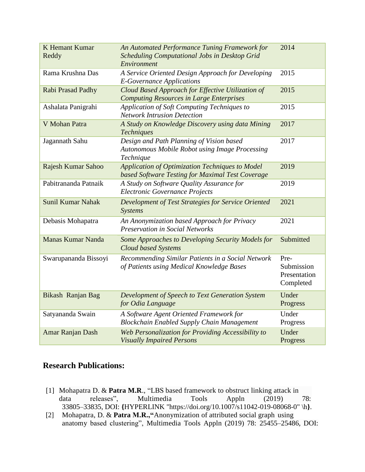| <b>K Hemant Kumar</b><br>Reddy | An Automated Performance Tuning Framework for<br><b>Scheduling Computational Jobs in Desktop Grid</b><br>Environment | 2014                                            |
|--------------------------------|----------------------------------------------------------------------------------------------------------------------|-------------------------------------------------|
| Rama Krushna Das               | A Service Oriented Design Approach for Developing<br><b>E-Governance Applications</b>                                | 2015                                            |
| Rabi Prasad Padhy              | Cloud Based Approach for Effective Utilization of<br><b>Computing Resources in Large Enterprises</b>                 | 2015                                            |
| Ashalata Panigrahi             | Application of Soft Computing Techniques to<br><b>Network Intrusion Detection</b>                                    | 2015                                            |
| V Mohan Patra                  | A Study on Knowledge Discovery using data Mining<br><b>Techniques</b>                                                | 2017                                            |
| Jagannath Sahu                 | Design and Path Planning of Vision based<br><b>Autonomous Mobile Robot using Image Processing</b><br>Technique       | 2017                                            |
| Rajesh Kumar Sahoo             | Application of Optimization Techniques to Model<br>based Software Testing for Maximal Test Coverage                  | 2019                                            |
| Pabitrananda Patnaik           | A Study on Software Quality Assurance for<br><b>Electronic Governance Projects</b>                                   | 2019                                            |
| <b>Sunil Kumar Nahak</b>       | Development of Test Strategies for Service Oriented<br>Systems                                                       | 2021                                            |
| Debasis Mohapatra              | An Anonymization based Approach for Privacy<br><b>Preservation in Social Networks</b>                                | 2021                                            |
| <b>Manas Kumar Nanda</b>       | Some Approaches to Developing Security Models for<br><b>Cloud based Systems</b>                                      | Submitted                                       |
| Swarupananda Bissoyi           | Recommending Similar Patients in a Social Network<br>of Patients using Medical Knowledge Bases                       | Pre-<br>Submission<br>Presentation<br>Completed |
| Bikash Ranjan Bag              | Development of Speech to Text Generation System<br>for Odia Language                                                 | Under<br>Progress                               |
| Satyananda Swain               | A Software Agent Oriented Framework for<br><b>Blockchain Enabled Supply Chain Management</b>                         | Under<br>Progress                               |
| Amar Ranjan Dash               | Web Personalization for Providing Accessibility to<br><b>Visually Impaired Persons</b>                               | Under<br>Progress                               |

## **Research Publications:**

- [1] Mohapatra D. & **Patra M.R**., "LBS based framework to obstruct linking attack in 33805–33835, DOI: **{**[HYPERLINK "https://doi.org/10.1007/s11042-019-08068-0" \h](https://doi.org/10.1007/s11042-019-08068-0)**}**. data releases", Multimedia Tools Appln (2019) 78:
- [2] Mohapatra, D. & **Patra M.R.,"**Anonymization of attributed social graph using anatomy based clustering", Multimedia Tools Appln (2019) 78: 25455–25486, DOI: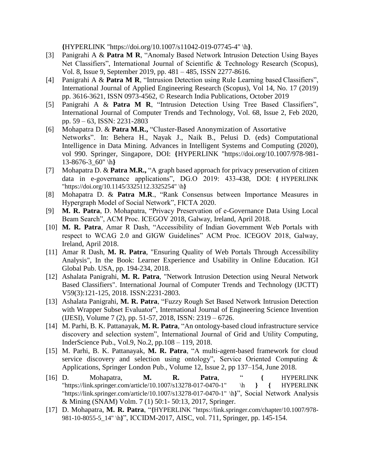**{**[HYPERLINK "https://doi.org/10.1007/s11042-019-07745-4" \h](https://doi.org/10.1007/s11042-019-07745-4)**}**.

- [3] Panigrahi A & **Patra M R**, "Anomaly Based Network Intrusion Detection Using Bayes Net Classifiers", International Journal of Scientific & Technology Research (Scopus), Vol. 8, Issue 9, September 2019, pp. 481 – 485, ISSN 2277-8616.
- [4] Panigrahi A & **Patra M R**, "Intrusion Detection using Rule Learning based Classifiers", International Journal of Applied Engineering Research (Scopus), Vol 14, No. 17 (2019) pp. 3616-3621, ISSN 0973-4562, © Research India Publications, October 2019
- [5] Panigrahi A & **Patra M R**, "Intrusion Detection Using Tree Based Classifiers", International Journal of Computer Trends and Technology, Vol. 68, Issue 2, Feb 2020, pp. 59 – 63, ISSN: 2231-2803
- [6] Mohapatra D. & **Patra M.R.,** "Cluster-Based Anonymization of Assortative Networks". In: Behera H., Nayak J., Naik B., Pelusi D. (eds) Computational Intelligence in Data Mining. Advances in Intelligent Systems and Computing (2020), vol 990. Springer, Singapore, DOI: **{**[HYPERLINK "https://doi.org/10.1007/978-981-](https://doi.org/10.1007/978-981-13-8676-3_60) [13-8676-3\\_60" \h](https://doi.org/10.1007/978-981-13-8676-3_60)**}**
- [7] Mohapatra D. & **Patra M.R.,** "A graph based approach for privacy preservation of citizen data in e-governance applications", DG.O 2019: 433-438, DOI: **{** [HYPERLINK](https://doi.org/10.1145/3325112.3325254)  ["https://doi.org/10.1145/3325112.3325254" \h](https://doi.org/10.1145/3325112.3325254)**}**
- [8] Mohapatra D. & **Patra M.R**., "Rank Consensus between Importance Measures in Hypergraph Model of Social Network", FICTA 2020.
- [9] **M. R. Patra**, D. Mohapatra, "Privacy Preservation of e-Governance Data Using Local Beam Search", ACM Proc. ICEGOV 2018, Galway, Ireland, April 2018.
- [10] **M. R. Patra**, Amar R Dash, "Accessibility of Indian Government Web Portals with respect to WCAG 2.0 and GIGW Guidelines" ACM Proc. ICEGOV 2018, Galway, Ireland, April 2018.
- [11] Amar R Dash, **M. R. Patra**, "Ensuring Quality of Web Portals Through Accessibility Analysis", In the Book: Learner Experience and Usability in Online Education. IGI Global Pub. USA, pp. 194-234, 2018.
- [12] Ashalata Panigrahi, **M. R. Patra**, "Network Intrusion Detection using Neural Network Based Classifiers". International Journal of Computer Trends and Technology (IJCTT) V59(3):121-125, 2018. ISSN:2231-2803.
- [13] Ashalata Panigrahi, **M. R. Patra**, "Fuzzy Rough Set Based Network Intrusion Detection with Wrapper Subset Evaluator", International Journal of Engineering Science Invention (IJESI), Volume 7 (2), pp. 51-57, 2018, ISSN: 2319 – 6726.
- [14] M. Parhi, B. K. Pattanayak, **M. R. Patra**, "An ontology-based cloud infrastructure service discovery and selection system", International Journal of Grid and Utility Computing, InderScience Pub., Vol.9, No.2, pp.108 – 119, 2018.
- [15] M. Parhi, B. K. Pattanayak, **M. R. Patra**, "A multi-agent-based framework for cloud service discovery and selection using ontology", Service Oriented Computing & Applications, Springer London Pub., Volume 12, Issue 2, pp 137–154, June 2018.
- [16] D. Mohapatra, **M. R. Patra**, " **{** [HYPERLINK](https://link.springer.com/article/10.1007/s13278-017-0470-1)  ["https://link.springer.com/article/10.1007/s13278-017-0470-1" \h](https://link.springer.com/article/10.1007/s13278-017-0470-1) **} {** [HYPERLINK](https://link.springer.com/article/10.1007/s13278-017-0470-1)  "https://link.springer.com/article/10.1007/s13278-017-0470-1" \h**}**", Social Network Analysis & Mining (SNAM) Volm. 7 (1) 50:1- 50:13, 2017, Springer.
- [17] D. Mohapatra, **M. R. Patra**, "**{**[HYPERLINK "https://link.springer.com/chapter/10.1007/978-](https://link.springer.com/chapter/10.1007/978-981-10-8055-5_14) [981-10-8055-5\\_14" \h](https://link.springer.com/chapter/10.1007/978-981-10-8055-5_14)**}**", ICCIDM-2017, AISC, vol. 711, Springer, pp. 145-154.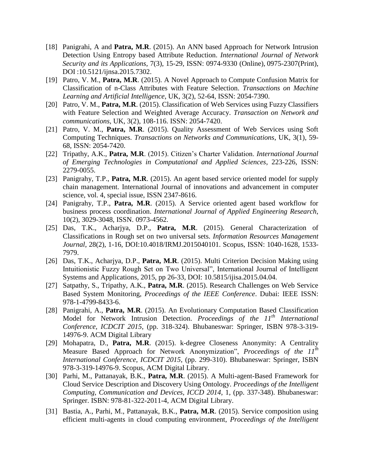- [18] Panigrahi, A and **Patra, M.R**. (2015). An ANN based Approach for Network Intrusion Detection Using Entropy based Attribute Reduction. *International Journal of Network Security and its Applications*, 7(3), 15-29, ISSN: 0974-9330 (Online), 0975-2307(Print), DOI :10.5121/ijnsa.2015.7302.
- [19] Patro, V. M., **Patra, M.R**. (2015). A Novel Approach to Compute Confusion Matrix for Classification of n-Class Attributes with Feature Selection. *Transactions on Machine Learning and Artificial Intelligence*, UK, 3(2), 52-64, ISSN: 2054-7390.
- [20] Patro, V. M., **Patra, M.R**. (2015). Classification of Web Services using Fuzzy Classifiers with Feature Selection and Weighted Average Accuracy. *Transaction on Network and communications*, UK, 3(2), 108-116. ISSN: 2054-7420.
- [21] Patro, V. M., **Patra, M.R**. (2015). Quality Assessment of Web Services using Soft Computing Techniques. *Transactions on Networks and Communications*, UK, 3(1), 59- 68, ISSN: 2054-7420.
- [22] Tripathy, A.K., **Patra, M.R**. (2015). Citizen's Charter Validation. *International Journal of Emerging Technologies in Computational and Applied Sciences*, 223-226, ISSN: 2279-0055.
- [23] Panigrahy, T.P., **Patra, M.R**. (2015). An agent based service oriented model for supply chain management. International Journal of innovations and advancement in computer science, vol. 4, special issue, ISSN 2347-8616.
- [24] Panigrahy, T.P., **Patra, M.R**. (2015). A Service oriented agent based workflow for business process coordination. *International Journal of Applied Engineering Research*, 10(2), 3029-3048, ISSN. 0973-4562.
- [25] Das, T.K., Acharjya, D.P., **Patra, M.R**. (2015). General Characterization of Classifications in Rough set on two universal sets. *Information Resources Management Journal*, 28(2), 1-16, DOI:10.4018/IRMJ.2015040101. Scopus, ISSN: 1040-1628, 1533- 7979.
- [26] Das, T.K., Acharjya, D.P., **Patra, M.R**. (2015). Multi Criterion Decision Making using Intuitionistic Fuzzy Rough Set on Two Universal", International Journal of Intelligent Systems and Applications, 2015, pp 26-33, DOI: 10.5815/ijisa.2015.04.04.
- [27] Satpathy, S., Tripathy, A.K., **Patra, M.R**. (2015). Research Challenges on Web Service Based System Monitoring, *Proceedings of the IEEE Conference*. Dubai: IEEE ISSN: 978-1-4799-8433-6.
- [28] Panigrahi, A., **Patra, M.R**. (2015). An Evolutionary Computation Based Classification Model for Network Intrusion Detection. *Proceedings of the 11th International Conference, ICDCIT 2015*, (pp. 318-324). Bhubaneswar: Springer, ISBN 978-3-319- 14976-9. ACM Digital Library
- [29] Mohapatra, D., **Patra, M.R**. (2015). k-degree Closeness Anonymity: A Centrality Measure Based Approach for Network Anonymization", *Proceedings of the 11th International Conference, ICDCIT 2015*, (pp. 299-310). Bhubaneswar: Springer, ISBN 978-3-319-14976-9. Scopus, ACM Digital Library.
- [30] Parhi, M., Pattanayak, B.K., **Patra, M.R**. (2015). A Multi-agent-Based Framework for Cloud Service Description and Discovery Using Ontology. *Proceedings of the Intelligent Computing, Communication and Devices, ICCD 2014*, 1, (pp. 337-348). Bhubaneswar: Springer. ISBN: 978-81-322-2011-4, ACM Digital Library.
- [31] Bastia, A., Parhi, M., Pattanayak, B.K., **Patra, M.R**. (2015). Service composition using efficient multi-agents in cloud computing environment, *Proceedings of the Intelligent*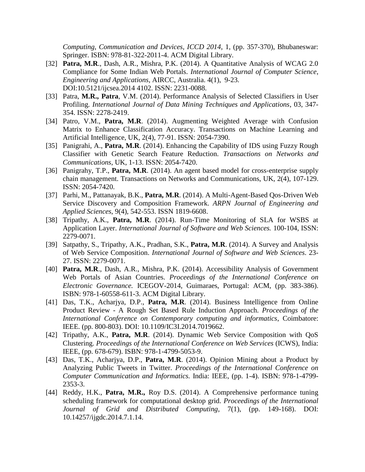*Computing, Communication and Devices, ICCD 2014*, 1, (pp. 357-370), Bhubaneswar: Springer. ISBN: 978-81-322-2011-4. ACM Digital Library.

- [32] **Patra, M.R.**, Dash, A.R., Mishra, P.K. (2014). A Quantitative Analysis of WCAG 2.0 Compliance for Some Indian Web Portals. *International Journal of Computer Science*, *Engineering and Applications*, AIRCC, Australia. 4(1), 9-23. DOI:10.5121/ijcsea.2014 4102. ISSN: 2231-0088.
- [33] Patra, **M.R., Patra**, V.M. (2014). Performance Analysis of Selected Classifiers in User Profiling. *International Journal of Data Mining Techniques and Applications*, 03, 347- 354. ISSN: 2278-2419.
- [34] Patro, V.M., **Patra, M.R**. (2014). Augmenting Weighted Average with Confusion Matrix to Enhance Classification Accuracy. Transactions on Machine Learning and Artificial Intelligence, UK, 2(4), 77-91. ISSN: 2054-7390.
- [35] Panigrahi, A., **Patra, M.R**. (2014). Enhancing the Capability of IDS using Fuzzy Rough Classifier with Genetic Search Feature Reduction. *Transactions on Networks and Communications*, UK, 1-13. ISSN: 2054-7420.
- [36] Panigrahy, T.P., **Patra, M.R**. (2014). An agent based model for cross-enterprise supply chain management. Transactions on Networks and Communications, UK, 2(4), 107-129. ISSN: 2054-7420.
- [37] Parhi, M., Pattanayak, B.K., **Patra, M.R**. (2014). A Multi-Agent-Based Qos-Driven Web Service Discovery and Composition Framework. *ARPN Journal of Engineering and Applied Sciences*, 9(4), 542-553. ISSN 1819-6608.
- [38] Tripathy, A.K., **Patra, M.R**. (2014). Run-Time Monitoring of SLA for WSBS at Application Layer. *International Journal of Software and Web Sciences.* 100-104, ISSN: 2279-0071.
- [39] Satpathy, S., Tripathy, A.K., Pradhan, S.K., **Patra, M.R**. (2014). A Survey and Analysis of Web Service Composition. *International Journal of Software and Web Sciences*. 23- 27. ISSN: 2279-0071.
- [40] **Patra, M.R**., Dash, A.R., Mishra, P.K. (2014). Accessibility Analysis of Government Web Portals of Asian Countries. *Proceedings of the International Conference on Electronic Governance.* ICEGOV-2014, Guimaraes, Portugal: ACM, (pp. 383-386). ISBN: 978-1-60558-611-3. ACM Digital Library.
- [41] Das, T.K., Acharjya, D.P., **Patra, M.R**. (2014). Business Intelligence from Online Product Review - A Rough Set Based Rule Induction Approach. *Proceedings of the International Conference on Contemporary computing and informatics*, Coimbatore: IEEE. (pp. 800-803). DOI: 10.1109/IC3I.2014.7019662.
- [42] Tripathy, A.K., **Patra, M.R**. (2014). Dynamic Web Service Composition with QoS Clustering. *Proceedings of the International Conference on Web Services* (ICWS), India: IEEE, (pp. 678-679). ISBN: 978-1-4799-5053-9.
- [43] Das, T.K., Acharjya, D.P., **Patra, M.R**. (2014). Opinion Mining about a Product by Analyzing Public Tweets in Twitter. *Proceedings of the International Conference on Computer Communication and Informatics.* India: IEEE, (pp. 1-4). ISBN: 978-1-4799- 2353-3.
- [44] Reddy, H.K., **Patra, M.R.,** Roy D.S. (2014). A Comprehensive performance tuning scheduling framework for computational desktop grid. *Proceedings of the International Journal of Grid and Distributed Computing*, 7(1), (pp. 149-168). DOI: 10.14257/ijgdc.2014.7.1.14.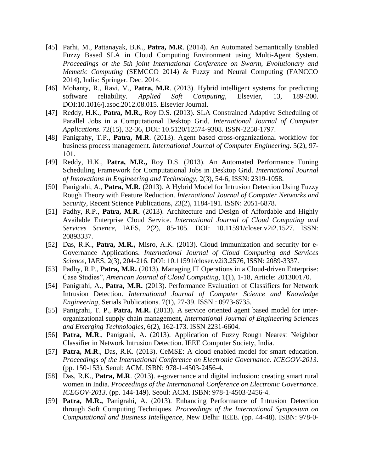- [45] Parhi, M., Pattanayak, B.K., **Patra, M.R**. (2014). An Automated Semantically Enabled Fuzzy Based SLA in Cloud Computing Environment using Multi-Agent System. *Proceedings of the 5th joint International Conference on Swarm, Evolutionary and Memetic Computing* (SEMCCO 2014) & Fuzzy and Neural Computing (FANCCO 2014), India: Springer. Dec. 2014.
- [46] Mohanty, R., Ravi, V., **Patra, M.R**. (2013). Hybrid intelligent systems for predicting software reliability. *Applied Soft Computing*, Elsevier, 13, 189-200. DOI:10.1016/j.asoc.2012.08.015. Elsevier Journal.
- [47] Reddy, H.K., **Patra, M.R.,** Roy D.S. (2013). SLA Constrained Adaptive Scheduling of Parallel Jobs in a Computational Desktop Grid. *International Journal of Computer Applications*. 72(15), 32-36, DOI: 10.5120/12574-9308. ISSN-2250-1797.
- [48] Panigrahy, T.P., **Patra, M.R**. (2013). Agent based cross-organizational workflow for business process management*. International Journal of Computer Engineering*. 5(2), 97- 101.
- [49] Reddy, H.K., **Patra, M.R.,** Roy D.S. (2013). An Automated Performance Tuning Scheduling Framework for Computational Jobs in Desktop Grid. *International Journal of Innovations in Engineering and Technology*, 2(3), 54-6, ISSN: 2319-1058.
- [50] Panigrahi, A., **Patra, M.R.** (2013). A Hybrid Model for Intrusion Detection Using Fuzzy Rough Theory with Feature Reduction. *International Journal of Computer Networks and Security*, Recent Science Publications, 23(2), 1184-191. ISSN: 2051-6878.
- [51] Padhy, R.P., **Patra, M.R.** (2013). Architecture and Design of Affordable and Highly Available Enterprise Cloud Service. *International Journal of Cloud Computing and Services Science*, IAES, 2(2), 85-105. DOI: 10.11591/closer.v2i2.1527. ISSN: 20893337.
- [52] Das, R.K., **Patra, M.R.,** Misro, A.K. (2013). Cloud Immunization and security for e-Governance Applications. *International Journal of Cloud Computing and Services Science*, IAES, 2(3), 204-216. DOI: 10.11591/closer.v2i3.2576, ISSN: 2089-3337.
- [53] Padhy, R.P., **Patra, M.R.** (2013). Managing IT Operations in a Cloud-driven Enterprise: Case Studies", *American Journal of Cloud Computing*, 1(1), 1-18, Article: 201300170.
- [54] Panigrahi, A., **Patra, M.R.** (2013). Performance Evaluation of Classifiers for Network Intrusion Detection. *International Journal of Computer Science and Knowledge Engineering*, Serials Publications. 7(1), 27-39. ISSN : 0973-6735.
- [55] Panigrahi, T. P., **Patra, M.R.** (2013). A service oriented agent based model for interorganizational supply chain management, *International Journal of Engineering Sciences and Emerging Technologies*, 6(2), 162-173. ISSN 2231-6604.
- [56] **Patra, M.R**., Panigrahi, A. (2013). Application of Fuzzy Rough Nearest Neighbor Classifier in Network Intrusion Detection. IEEE Computer Society, India.
- [57] **Patra, M.R.**, Das, R.K. (2013). CeMSE: A cloud enabled model for smart education. *Proceedings of the International Conference on Electronic Governance. ICEGOV-2013*. (pp. 150-153). Seoul: ACM. ISBN: 978-1-4503-2456-4.
- [58] Das, R.K., **Patra, M.R**. (2013). e-governance and digital inclusion: creating smart rural women in India. *Proceedings of the International Conference on Electronic Governance. ICEGOV-2013*. (pp. 144-149). Seoul: ACM. ISBN: 978-1-4503-2456-4.
- [59] **Patra, M.R.,** Panigrahi, A. (2013). Enhancing Performance of Intrusion Detection through Soft Computing Techniques. *Proceedings of the International Symposium on Computational and Business Intelligence,* New Delhi: IEEE. (pp. 44-48). ISBN: 978-0-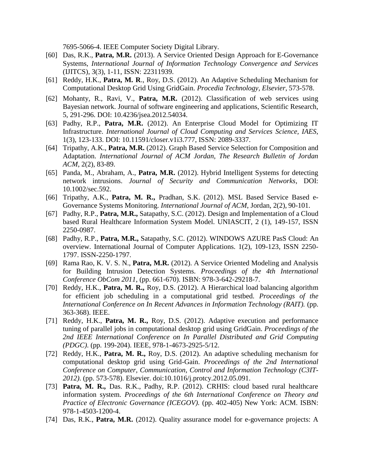7695-5066-4. IEEE Computer Society Digital Library.

- [60] Das, R.K., **Patra, M.R.** (2013). A Service Oriented Design Approach for E-Governance Systems, *International Journal of Information Technology Convergence and Services*  (IJITCS), 3(3), 1-11, ISSN: 22311939.
- [61] Reddy, H.K., **Patra, M. R**., Roy, D.S. (2012). An Adaptive Scheduling Mechanism for Computational Desktop Grid Using GridGain. *Procedia Technology, Elsevier*, 573-578.
- [62] Mohanty, R., Ravi, V., **Patra, M.R.** (2012). Classification of web services using Bayesian network. Journal of software engineering and applications, Scientific Research, 5, 291-296. DOI: 10.4236/jsea.2012.54034.
- [63] Padhy, R.P., **Patra, M.R.** (2012). An Enterprise Cloud Model for Optimizing IT Infrastructure. *International Journal of Cloud Computing and Services Science, IAES*, 1(3), 123-133. DOI: 10.11591/closer.v1i3.777, ISSN: 2089-3337.
- [64] Tripathy, A.K., **Patra, M.R.** (2012). Graph Based Service Selection for Composition and Adaptation. *International Journal of ACM Jordan, The Research Bulletin of Jordan ACM*, 2(2), 83-89.
- [65] Panda, M., Abraham, A., **Patra, M.R.** (2012). Hybrid Intelligent Systems for detecting network intrusions. *Journal of Security and Communication Networks*, DOI: 10.1002/sec.592.
- [66] Tripathy, A.K., **Patra, M. R.,** Pradhan, S.K. (2012). MSL Based Service Based e-Governance Systems Monitoring. *International Journal of ACM*, Jordan, 2(2), 90-101.
- [67] Padhy, R.P., **Patra, M.R.,** Satapathy, S.C. (2012). Design and Implementation of a Cloud based Rural Healthcare Information System Model. UNIASCIT, 2 (1), 149-157, ISSN 2250-0987.
- [68] Padhy, R.P., **Patra, M.R.,** Satapathy, S.C. (2012). WINDOWS AZURE PasS Cloud: An overview. International Journal of Computer Applications. 1(2), 109-123, ISSN 2250- 1797. ISSN-2250-1797.
- [69] Rama Rao, K. V. S. N., **Patra, M.R.** (2012). A Service Oriented Modeling and Analysis for Building Intrusion Detection Systems. *Proceedings of the 4th International Conference ObCom 2011*, (pp. 661-670). ISBN: 978-3-642-29218-7.
- [70] Reddy, H.K., **Patra, M. R.,** Roy, D.S. (2012). A Hierarchical load balancing algorithm for efficient job scheduling in a computational grid testbed. *Proceedings of the International Conference on In Recent Advances in Information Technology (RAIT).* (pp. 363-368). IEEE.
- [71] Reddy, H.K., **Patra, M. R.,** Roy, D.S. (2012). Adaptive execution and performance tuning of parallel jobs in computational desktop grid using GridGain. *Proceedings of the 2nd IEEE International Conference on In Parallel Distributed and Grid Computing (PDGC)*. (pp. 199-204). IEEE, 978-1-4673-2925-5/12.
- [72] Reddy, H.K., **Patra, M. R.,** Roy, D.S. (2012). An adaptive scheduling mechanism for computational desktop grid using Grid-Gain. *Proceedings of the 2nd International Conference on Computer, Communication, Control and Information Technology (C3IT-2012)*. (pp. 573-578). Elsevier. doi:10.1016/j.protcy.2012.05.091.
- [73] **Patra, M. R.,** Das. R.K., Padhy, R.P. (2012). CRHIS: cloud based rural healthcare information system. *Proceedings of the 6th International Conference on Theory and Practice of Electronic Governance (ICEGOV).* (pp. 402-405) New York: ACM. ISBN: 978-1-4503-1200-4.
- [74] Das, R.K., **Patra, M.R.** (2012). Quality assurance model for e-governance projects: A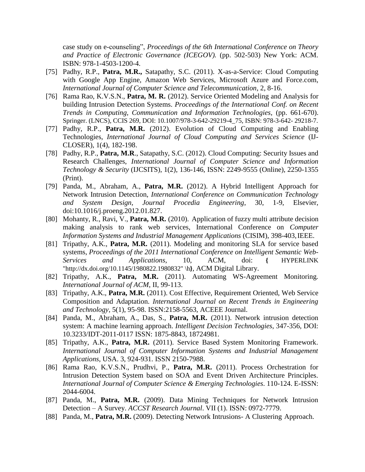case study on e-counseling", *Proceedings of the 6th International Conference on Theory and Practice of Electronic Governance (ICEGOV).* (pp. 502-503) New York: ACM. ISBN: 978-1-4503-1200-4.

- [75] Padhy, R.P., **Patra, M.R.,** Satapathy, S.C. (2011). X-as-a-Service: Cloud Computing with Google App Engine, Amazon Web Services, Microsoft Azure and Force.com, *International Journal of Computer Science and Telecommunication*, 2, 8-16.
- [76] Rama Rao, K.V.S.N., **Patra, M. R.** (2012). Service Oriented Modeling and Analysis for building Intrusion Detection Systems. *Proceedings of the International Conf. on Recent Trends in Computing, Communication and Information Technologies*, (pp. 661-670). Springer. (LNCS), CCIS 269, DOI: 10.1007/978-3-642-29219-4\_75, ISBN: 978-3-642- 29218-7.
- [77] Padhy, R.P., **Patra, M.R.** (2012). Evolution of Cloud Computing and Enabling Technologies, *International Journal of Cloud Computing and Services Science* (IJ-CLOSER), 1(4), 182-198.
- [78] Padhy, R.P., **Patra, M.R**., Satapathy, S.C. (2012). Cloud Computing: Security Issues and Research Challenges, *International Journal of Computer Science and Information Technology & Security* (IJCSITS), 1(2), 136-146, ISSN: 2249-9555 (Online), 2250-1355 (Print).
- [79] Panda, M., Abraham, A., **Patra, M.R.** (2012). A Hybrid Intelligent Approach for Network Intrusion Detection, *International Conference on Communication Technology and System Design, Journal Procedia Engineering*, 30, 1-9, Elsevier, doi:10.1016/j.proeng.2012.01.827.
- [80] Mohanty, R., Ravi, V., **Patra, M.R.** (2010). Application of fuzzy multi attribute decision making analysis to rank web services, International Conference on *Computer Information Systems and Industrial Management Applications* (CISIM), 398-403,IEEE.
- [81] Tripathy, A.K., **Patra, M.R.** (2011). Modeling and monitoring SLA for service based systems, *Proceedings of the 2011 International Conference on Intelligent Semantic Web-Services and Applications*, 10, ACM, doi: **{** [HYPERLINK](http://dx.doi.org/10.1145/1980822.1980832)  ["http://dx.doi.org/10.1145/1980822.1980832" \h](http://dx.doi.org/10.1145/1980822.1980832)**}**, ACM Digital Library.
- [82] Tripathy, A.K., **Patra, M.R.** (2011). Automating WS-Agreement Monitoring*. International Journal of ACM*, II, 99-113.
- [83] Tripathy, A.K., **Patra, M.R.** (2011). Cost Effective, Requirement Oriented, Web Service Composition and Adaptation. *International Journal on Recent Trends in Engineering and Technology*, 5(1), 95-98. ISSN:2158-5563, ACEEE Journal.
- [84] Panda, M., Abraham, A., Das, S., **Patra, M.R.** (2011). Network intrusion detection system: A machine learning approach. *Intelligent Decision Technologies*, 347-356, DOI: 10.3233/IDT-2011-0117 ISSN: 1875-8843, 18724981.
- [85] Tripathy, A.K., **Patra, M.R.** (2011). Service Based System Monitoring Framework. *International Journal of Computer Information Systems and Industrial Management Applications*, USA. 3, 924-931. ISSN 2150-7988.
- [86] Rama Rao, K.V.S.N., Prudhvi, P., **Patra, M.R.** (2011). Process Orchestration for Intrusion Detection System based on SOA and Event Driven Architecture Principles. *International Journal of Computer Science & Emerging Technologies*. 110-124. E-ISSN: 2044-6004.
- [87] Panda, M., **Patra, M.R.** (2009). Data Mining Techniques for Network Intrusion Detection – A Survey. *ACCST Research Journal*. VII (1). ISSN: 0972-7779.
- [88] Panda, M., **Patra, M.R.** (2009). Detecting Network Intrusions- A Clustering Approach.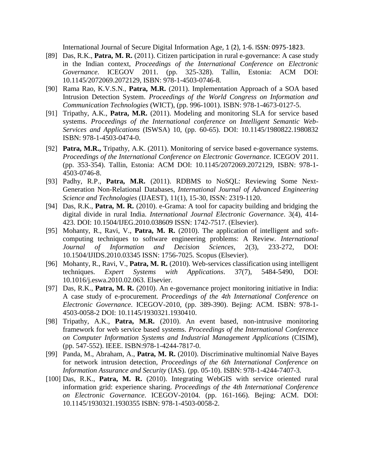International Journal of Secure Digital Information Age, 1 (2), 1-6. ISSN: 0975-1823.

- [89] Das, R.K., **Patra, M. R.** (2011). Citizen participation in rural e-governance: A case study in the Indian context, *Proceedings of the International Conference on Electronic Governance*. ICEGOV 2011. (pp. 325-328). Tallin, Estonia: ACM DOI: 10.1145/2072069.2072129, ISBN: 978-1-4503-0746-8.
- [90] Rama Rao, K.V.S.N., **Patra, M.R.** (2011). Implementation Approach of a SOA based Intrusion Detection System. *Proceedings of the World Congress on Information and Communication Technologies* (WICT), (pp. 996-1001). ISBN: 978-1-4673-0127-5.
- [91] Tripathy, A.K., **Patra, M.R.** (2011). Modeling and monitoring SLA for service based systems. *Proceedings of the International conference on Intelligent Semantic Web-Services and Applications* (ISWSA) 10, (pp. 60-65). DOI: 10.1145/1980822.1980832 ISBN: 978-1-4503-0474-0.
- [92] **Patra, M.R.,** Tripathy, A.K. (2011). Monitoring of service based e-governance systems. *Proceedings of the International Conference on Electronic Governance*. ICEGOV 2011. (pp. 353-354). Tallin, Estonia: ACM DOI: 10.1145/2072069.2072129, ISBN: 978-1- 4503-0746-8.
- [93] Padhy, R.P., **Patra, M.R.** (2011). RDBMS to NoSQL: Reviewing Some Next-Generation Non-Relational Databases, *International Journal of Advanced Engineering Science and Technologies* (IJAEST), 11(1), 15-30, ISSN: 2319-1120.
- [94] Das, R.K., **Patra, M. R.** (2010). e-Grama: A tool for capacity building and bridging the digital divide in rural India. *International Journal Electronic Governance*. 3(4), 414- 423. DOI: 10.1504/IJEG.2010.038609 ISSN: 1742-7517. (Elsevier).
- [95] Mohanty, R., Ravi, V., **Patra, M. R.** (2010). The application of intelligent and softcomputing techniques to software engineering problems: A Review*. International Journal of Information and Decision Sciences*, 2(3), 233-272, DOI: 10.1504/IJIDS.2010.03345 ISSN: 1756-7025. Scopus (Elsevier).
- [96] Mohanty, R., Ravi, V., **Patra, M. R.** (2010). Web-services classification using intelligent techniques. *Expert Systems with Applications*. 37(7), 5484-5490, DOI: 10.1016/j.eswa.2010.02.063. Elsevier.
- [97] Das, R.K., **Patra, M. R.** (2010). An e-governance project monitoring initiative in India: A case study of e-procurement. *Proceedings of the 4th International Conference on Electronic Governance*. ICEGOV-2010, (pp. 389-390). Bejing: ACM. ISBN: 978-1- 4503-0058-2 DOI: 10.1145/1930321.1930410.
- [98] Tripathy, A.K., **Patra, M.R.** (2010). An event based, non-intrusive monitoring framework for web service based systems. *Proceedings of the International Conference on Computer Information Systems and Industrial Management Applications* (CISIM), (pp. 547-552). IEEE. ISBN:978-1-4244-7817-0.
- [99] Panda, M., Abraham, A., **Patra, M. R.** (2010). Discriminative multinomial Naïve Bayes for network intrusion detection*, Proceedings of the 6th International Conference on Information Assurance and Security* (IAS). (pp. 05-10). ISBN: 978-1-4244-7407-3.
- [100] Das, R.K., **Patra, M. R.** (2010). Integrating WebGIS with service oriented rural information grid: experience sharing. *Proceedings of the 4th International Conference on Electronic Governance*. ICEGOV-20104. (pp. 161-166). Bejing: ACM. DOI: 10.1145/1930321.1930355 ISBN: 978-1-4503-0058-2.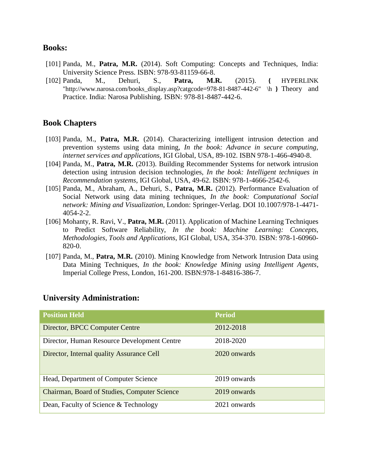#### **Books:**

- [101] Panda, M., **Patra, M.R.** (2014). Soft Computing: Concepts and Techniques, India: University Science Press. ISBN: 978-93-81159-66-8.
- [102] Panda, M., Dehuri, S., **Patra, M.R.** (2015). **{** [HYPERLINK](http://www.narosa.com/books_display.asp?catgcode=978-81-8487-442-6)  ["http://www.narosa.com/books\\_display.asp?catgcode=978-81-8487-442-6" \h](http://www.narosa.com/books_display.asp?catgcode=978-81-8487-442-6) **}** Theory and Practice. India: Narosa Publishing. ISBN: 978-81-8487-442-6.

#### **Book Chapters**

- [103] Panda, M., **Patra, M.R.** (2014). Characterizing intelligent intrusion detection and prevention systems using data mining, *In the book: Advance in secure computing, internet services and applications*, IGI Global, USA, 89-102. ISBN 978-1-466-4940-8.
- [104] Panda, M., **Patra, M.R.** (2013). Building Recommender Systems for network intrusion detection using intrusion decision technologies, *In the book: Intelligent techniques in Recommendation systems*, IGI Global, USA, 49-62. ISBN: 978-1-4666-2542-6.
- [105] Panda, M., Abraham, A., Dehuri, S., **Patra, M.R.** (2012). Performance Evaluation of Social Network using data mining techniques, *In the book: Computational Social network: Mining and Visualization*, London: Springer-Verlag. DOI 10.1007/978-1-4471- 4054-2-2.
- [106] Mohanty, R. Ravi, V., **Patra, M.R.** (2011). Application of Machine Learning Techniques to Predict Software Reliability, *In the book: Machine Learning: Concepts, Methodologies, Tools and Applications*, IGI Global, USA, 354-370. ISBN: 978-1-60960- 820-0.
- [107] Panda, M., **Patra, M.R.** (2010). Mining Knowledge from Network Intrusion Data using Data Mining Techniques, *In the book: Knowledge Mining using Intelligent Agents*, Imperial College Press, London, 161-200. ISBN:978-1-84816-386-7.

| <b>Position Held</b>                         | <b>Period</b> |
|----------------------------------------------|---------------|
| Director, BPCC Computer Centre               | 2012-2018     |
| Director, Human Resource Development Centre  | 2018-2020     |
| Director, Internal quality Assurance Cell    | 2020 onwards  |
| Head, Department of Computer Science         | 2019 onwards  |
| Chairman, Board of Studies, Computer Science | 2019 onwards  |
| Dean, Faculty of Science & Technology        | 2021 onwards  |

#### **University Administration:**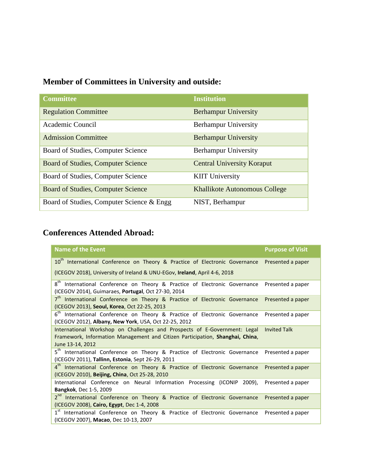# **Member of Committees in University and outside:**

| <b>Committee</b>                          | <b>Institution</b>                   |
|-------------------------------------------|--------------------------------------|
| <b>Regulation Committee</b>               | <b>Berhampur University</b>          |
| Academic Council                          | Berhampur University                 |
| <b>Admission Committee</b>                | <b>Berhampur University</b>          |
| Board of Studies, Computer Science        | <b>Berhampur University</b>          |
| Board of Studies, Computer Science        | <b>Central University Koraput</b>    |
| Board of Studies, Computer Science        | <b>KIIT University</b>               |
| Board of Studies, Computer Science        | <b>Khallikote Autonomous College</b> |
| Board of Studies, Computer Science & Engg | NIST, Berhampur                      |

# **Conferences Attended Abroad:**

| <b>Name of the Event</b>                                                                                                                                                                              | <b>Purpose of Visit</b> |  |  |  |
|-------------------------------------------------------------------------------------------------------------------------------------------------------------------------------------------------------|-------------------------|--|--|--|
| 10 <sup>th</sup> International Conference on Theory & Practice of Electronic Governance Presented a paper                                                                                             |                         |  |  |  |
| (ICEGOV 2018), University of Ireland & UNU-EGov, Ireland, April 4-6, 2018                                                                                                                             |                         |  |  |  |
| $8^{\sf th}$<br>International Conference on Theory & Practice of Electronic Governance<br>(ICEGOV 2014), Guimaraes, Portugal, Oct 27-30, 2014                                                         | Presented a paper       |  |  |  |
| $7^{\text{th}}$<br>International Conference on Theory & Practice of Electronic Governance Presented a paper<br>(ICEGOV 2013), Seoul, Korea, Oct 22-25, 2013                                           |                         |  |  |  |
| $6^{\text{th}}$<br>International Conference on Theory & Practice of Electronic Governance<br>(ICEGOV 2012), Albany, New York, USA, Oct 22-25, 2012                                                    | Presented a paper       |  |  |  |
| International Workshop on Challenges and Prospects of E-Government: Legal<br><b>Invited Talk</b><br>Framework, Information Management and Citizen Participation, Shanghai, China,<br>June 13-14, 2012 |                         |  |  |  |
| $5^{\text{th}}$<br>International Conference on Theory & Practice of Electronic Governance<br>(ICEGOV 2011), Tallinn, Estonia, Sept 26-29, 2011                                                        | Presented a paper       |  |  |  |
| 4 <sup>th</sup> International Conference on Theory & Practice of Electronic Governance Presented a paper<br>(ICEGOV 2010), Beijing, China, Oct 25-28, 2010                                            |                         |  |  |  |
| International Conference on Neural Information Processing (ICONIP 2009),<br><b>Bangkok, Dec 1-5, 2009</b>                                                                                             | Presented a paper       |  |  |  |
| 2 <sup>nd</sup> International Conference on Theory & Practice of Electronic Governance<br>(ICEGOV 2008), Cairo, Egypt, Dec 1-4, 2008                                                                  | Presented a paper       |  |  |  |
| $1^{st}$<br>International Conference on Theory & Practice of Electronic Governance<br>(ICEGOV 2007), Macao, Dec 10-13, 2007                                                                           | Presented a paper       |  |  |  |